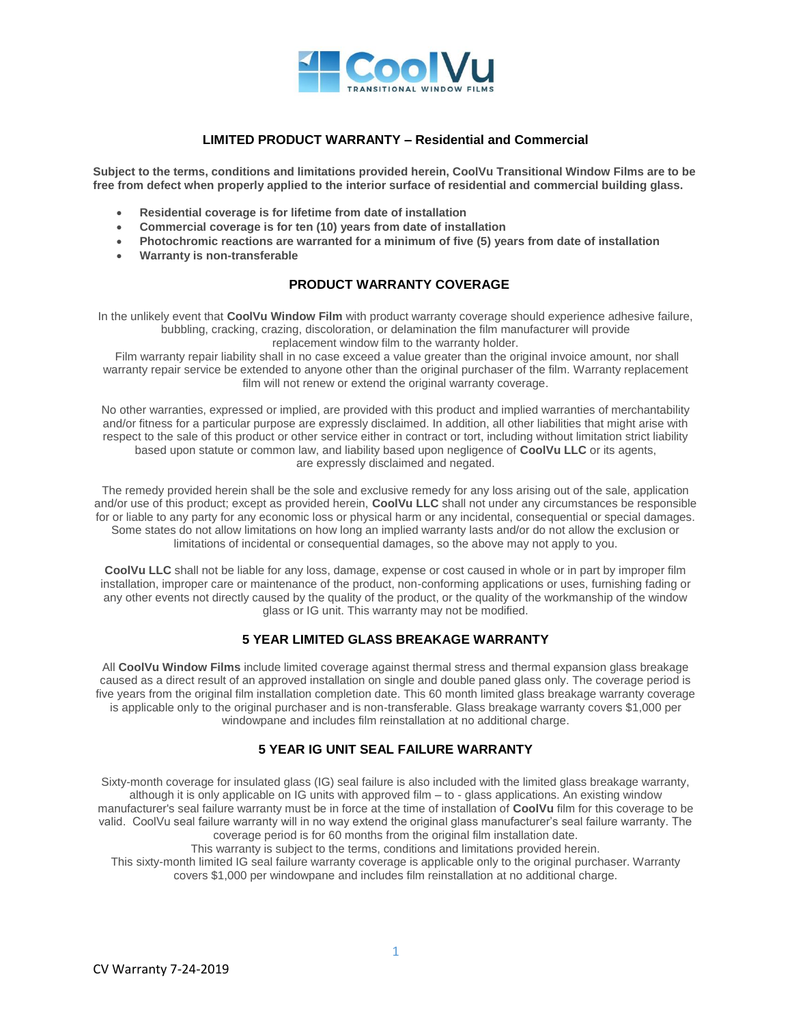

## **LIMITED PRODUCT WARRANTY – Residential and Commercial**

**Subject to the terms, conditions and limitations provided herein, CoolVu Transitional Window Films are to be free from defect when properly applied to the interior surface of residential and commercial building glass.**

- **Residential coverage is for lifetime from date of installation**
- **Commercial coverage is for ten (10) years from date of installation**
- **Photochromic reactions are warranted for a minimum of five (5) years from date of installation**
- **Warranty is non-transferable**

# **PRODUCT WARRANTY COVERAGE**

In the unlikely event that **CoolVu Window Film** with product warranty coverage should experience adhesive failure, bubbling, cracking, crazing, discoloration, or delamination the film manufacturer will provide replacement window film to the warranty holder.

Film warranty repair liability shall in no case exceed a value greater than the original invoice amount, nor shall warranty repair service be extended to anyone other than the original purchaser of the film. Warranty replacement film will not renew or extend the original warranty coverage.

No other warranties, expressed or implied, are provided with this product and implied warranties of merchantability and/or fitness for a particular purpose are expressly disclaimed. In addition, all other liabilities that might arise with respect to the sale of this product or other service either in contract or tort, including without limitation strict liability based upon statute or common law, and liability based upon negligence of **CoolVu LLC** or its agents, are expressly disclaimed and negated.

The remedy provided herein shall be the sole and exclusive remedy for any loss arising out of the sale, application and/or use of this product; except as provided herein, **CoolVu LLC** shall not under any circumstances be responsible for or liable to any party for any economic loss or physical harm or any incidental, consequential or special damages. Some states do not allow limitations on how long an implied warranty lasts and/or do not allow the exclusion or limitations of incidental or consequential damages, so the above may not apply to you.

**CoolVu LLC** shall not be liable for any loss, damage, expense or cost caused in whole or in part by improper film installation, improper care or maintenance of the product, non-conforming applications or uses, furnishing fading or any other events not directly caused by the quality of the product, or the quality of the workmanship of the window glass or IG unit. This warranty may not be modified.

# **5 YEAR LIMITED GLASS BREAKAGE WARRANTY**

All **CoolVu Window Films** include limited coverage against thermal stress and thermal expansion glass breakage caused as a direct result of an approved installation on single and double paned glass only. The coverage period is five years from the original film installation completion date. This 60 month limited glass breakage warranty coverage is applicable only to the original purchaser and is non-transferable. Glass breakage warranty covers \$1,000 per windowpane and includes film reinstallation at no additional charge.

# **5 YEAR IG UNIT SEAL FAILURE WARRANTY**

Sixty-month coverage for insulated glass (IG) seal failure is also included with the limited glass breakage warranty, although it is only applicable on IG units with approved film – to - glass applications. An existing window manufacturer's seal failure warranty must be in force at the time of installation of **CoolVu** film for this coverage to be valid. CoolVu seal failure warranty will in no way extend the original glass manufacturer's seal failure warranty. The coverage period is for 60 months from the original film installation date.

This warranty is subject to the terms, conditions and limitations provided herein.

This sixty-month limited IG seal failure warranty coverage is applicable only to the original purchaser. Warranty covers \$1,000 per windowpane and includes film reinstallation at no additional charge.